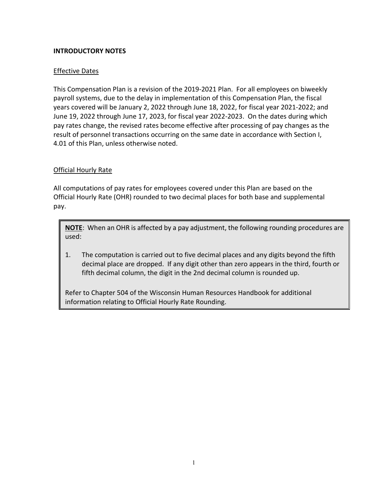## **INTRODUCTORY NOTES**

## Effective Dates

This Compensation Plan is a revision of the 2019-2021 Plan. For all employees on biweekly payroll systems, due to the delay in implementation of this Compensation Plan, the fiscal years covered will be January 2, 2022 through June 18, 2022, for fiscal year 2021-2022; and June 19, 2022 through June 17, 2023, for fiscal year 2022-2023. On the dates during which pay rates change, the revised rates become effective after processing of pay changes as the result of personnel transactions occurring on the same date in accordance with Section I, 4.01 of this Plan, unless otherwise noted.

### Official Hourly Rate

All computations of pay rates for employees covered under this Plan are based on the Official Hourly Rate (OHR) rounded to two decimal places for both base and supplemental pay.

**NOTE**: When an OHR is affected by a pay adjustment, the following rounding procedures are used:

1. The computation is carried out to five decimal places and any digits beyond the fifth decimal place are dropped. If any digit other than zero appears in the third, fourth or fifth decimal column, the digit in the 2nd decimal column is rounded up.

Refer to Chapter 504 of the Wisconsin Human Resources Handbook for additional information relating to Official Hourly Rate Rounding.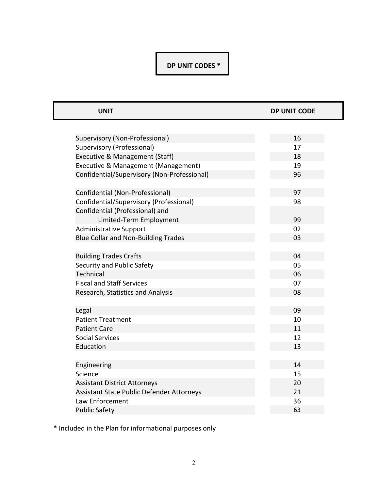# **DP UNIT CODES \***

| <b>UNIT</b>                                 | <b>DP UNIT CODE</b> |
|---------------------------------------------|---------------------|
|                                             |                     |
| Supervisory (Non-Professional)              | 16                  |
| Supervisory (Professional)                  | 17                  |
| Executive & Management (Staff)              | 18                  |
| Executive & Management (Management)         | 19                  |
| Confidential/Supervisory (Non-Professional) | 96                  |
| Confidential (Non-Professional)             | 97                  |
| Confidential/Supervisory (Professional)     | 98                  |
| Confidential (Professional) and             |                     |
| Limited-Term Employment                     | 99                  |
| <b>Administrative Support</b>               | 02                  |
| <b>Blue Collar and Non-Building Trades</b>  | 03                  |
|                                             |                     |
| <b>Building Trades Crafts</b>               | 04                  |
| Security and Public Safety                  | 05                  |
| Technical                                   | 06                  |
| <b>Fiscal and Staff Services</b>            | 07                  |
| Research, Statistics and Analysis           | 08                  |
|                                             |                     |
| Legal                                       | 09                  |
| <b>Patient Treatment</b>                    | 10                  |
| <b>Patient Care</b>                         | 11                  |
| <b>Social Services</b>                      | 12                  |
| Education                                   | 13                  |
|                                             |                     |
| Engineering                                 | 14                  |
| Science                                     | 15                  |
| <b>Assistant District Attorneys</b>         | 20                  |
| Assistant State Public Defender Attorneys   | 21                  |
| Law Enforcement                             | 36                  |
| <b>Public Safety</b>                        | 63                  |

\* Included in the Plan for informational purposes only